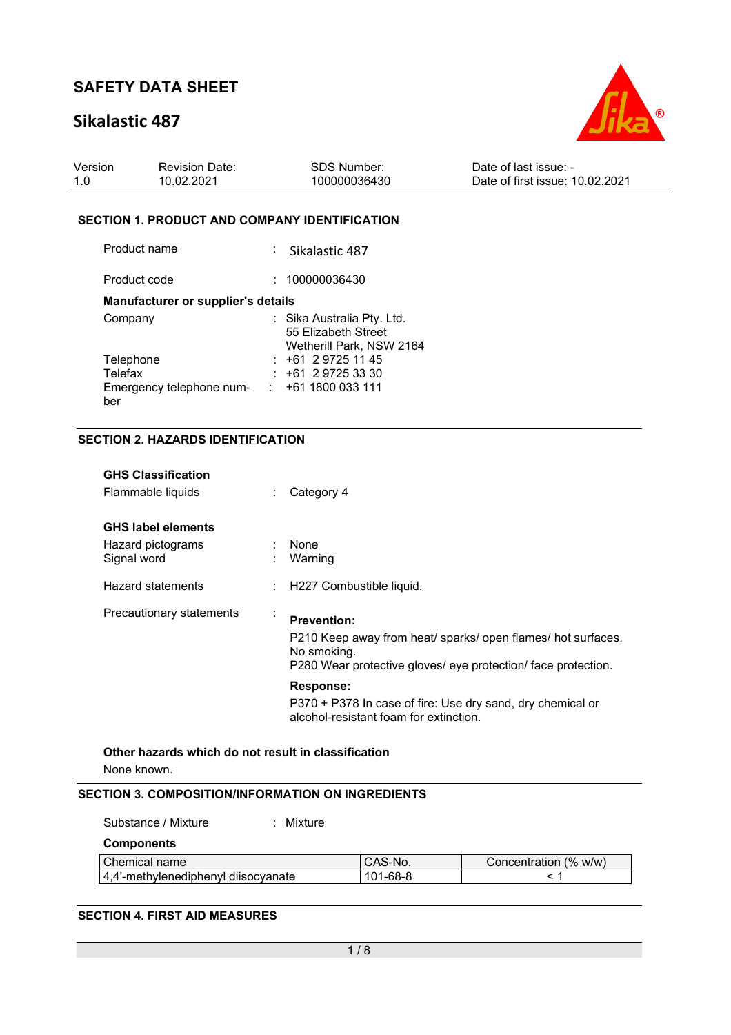# **Sikalastic 487**



| Version | <b>Revision Date:</b> | <b>SDS Number:</b> | Date of last issue: -           |
|---------|-----------------------|--------------------|---------------------------------|
| 1.0     | 10.02.2021            | 100000036430       | Date of first issue: 10.02.2021 |

#### **SECTION 1. PRODUCT AND COMPANY IDENTIFICATION**

| Product name                       | : Sikalastic 487                                                              |
|------------------------------------|-------------------------------------------------------------------------------|
| Product code                       | : 100000036430                                                                |
| Manufacturer or supplier's details |                                                                               |
| Company                            | : Sika Australia Pty. Ltd.<br>55 Elizabeth Street<br>Wetherill Park, NSW 2164 |
| Telephone                          | $: +61297251145$                                                              |
| Telefax                            | $: +61297253330$                                                              |
| Emergency telephone num-<br>ber    | : 1611800033111                                                               |

### **SECTION 2. HAZARDS IDENTIFICATION**

| <b>GHS Classification</b><br>Flammable liquids                | Category 4                                                                                                                                                         |
|---------------------------------------------------------------|--------------------------------------------------------------------------------------------------------------------------------------------------------------------|
| <b>GHS label elements</b><br>Hazard pictograms<br>Signal word | $:$ None<br>Warning                                                                                                                                                |
| Hazard statements                                             | : H227 Combustible liquid.                                                                                                                                         |
| Precautionary statements                                      | <b>Prevention:</b><br>P210 Keep away from heat/ sparks/ open flames/ hot surfaces.<br>No smoking.<br>P280 Wear protective gloves/ eye protection/ face protection. |
|                                                               | <b>Response:</b><br>P370 + P378 In case of fire: Use dry sand, dry chemical or<br>alcohol-resistant foam for extinction.                                           |

**Other hazards which do not result in classification** None known.

#### **SECTION 3. COMPOSITION/INFORMATION ON INGREDIENTS**

| Substance / Mixture                 | Mixture |          |                       |
|-------------------------------------|---------|----------|-----------------------|
| <b>Components</b>                   |         |          |                       |
| Chemical name                       |         | CAS-No.  | Concentration (% w/w) |
| 4,4'-methylenediphenyl diisocyanate |         | 101-68-8 |                       |

### **SECTION 4. FIRST AID MEASURES**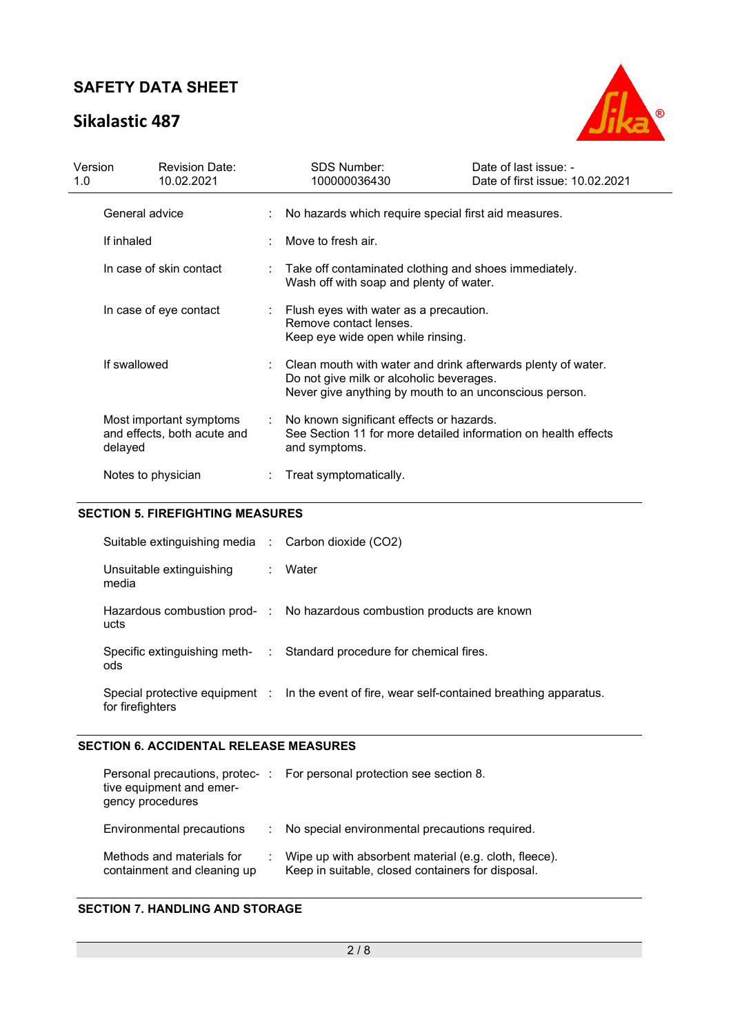# **Sikalastic 487**



| Version<br>1.0          |                        | <b>Revision Date:</b><br>10.02.2021                    |                                                                                                    | <b>SDS Number:</b><br>100000036430                                                                                                                                 | Date of last issue: -<br>Date of first issue: 10.02.2021 |
|-------------------------|------------------------|--------------------------------------------------------|----------------------------------------------------------------------------------------------------|--------------------------------------------------------------------------------------------------------------------------------------------------------------------|----------------------------------------------------------|
|                         | General advice         |                                                        |                                                                                                    | No hazards which require special first aid measures.                                                                                                               |                                                          |
|                         | If inhaled             |                                                        |                                                                                                    | Move to fresh air.                                                                                                                                                 |                                                          |
| In case of skin contact |                        |                                                        | : Take off contaminated clothing and shoes immediately.<br>Wash off with soap and plenty of water. |                                                                                                                                                                    |                                                          |
|                         | In case of eye contact |                                                        |                                                                                                    | Flush eyes with water as a precaution.<br>Remove contact lenses.<br>Keep eye wide open while rinsing.                                                              |                                                          |
|                         | If swallowed           |                                                        |                                                                                                    | Clean mouth with water and drink afterwards plenty of water.<br>Do not give milk or alcoholic beverages.<br>Never give anything by mouth to an unconscious person. |                                                          |
|                         | delayed                | Most important symptoms<br>and effects, both acute and | ÷.                                                                                                 | No known significant effects or hazards.<br>See Section 11 for more detailed information on health effects<br>and symptoms.                                        |                                                          |
|                         | Notes to physician     |                                                        |                                                                                                    | Treat symptomatically.                                                                                                                                             |                                                          |

## **SECTION 5. FIREFIGHTING MEASURES**

| Suitable extinguishing media : Carbon dioxide (CO2) |                                                                                               |
|-----------------------------------------------------|-----------------------------------------------------------------------------------------------|
| Unsuitable extinguishing<br>media                   | : Water                                                                                       |
| ucts                                                | Hazardous combustion prod- : No hazardous combustion products are known                       |
| ods                                                 | Specific extinguishing meth- : Standard procedure for chemical fires.                         |
| for firefighters                                    | Special protective equipment : In the event of fire, wear self-contained breathing apparatus. |

#### **SECTION 6. ACCIDENTAL RELEASE MEASURES**

| tive equipment and emer-<br>gency procedures             | Personal precautions, protec-: For personal protection see section 8.                                      |
|----------------------------------------------------------|------------------------------------------------------------------------------------------------------------|
| Environmental precautions                                | : No special environmental precautions required.                                                           |
| Methods and materials for<br>containment and cleaning up | Wipe up with absorbent material (e.g. cloth, fleece).<br>Keep in suitable, closed containers for disposal. |

## **SECTION 7. HANDLING AND STORAGE**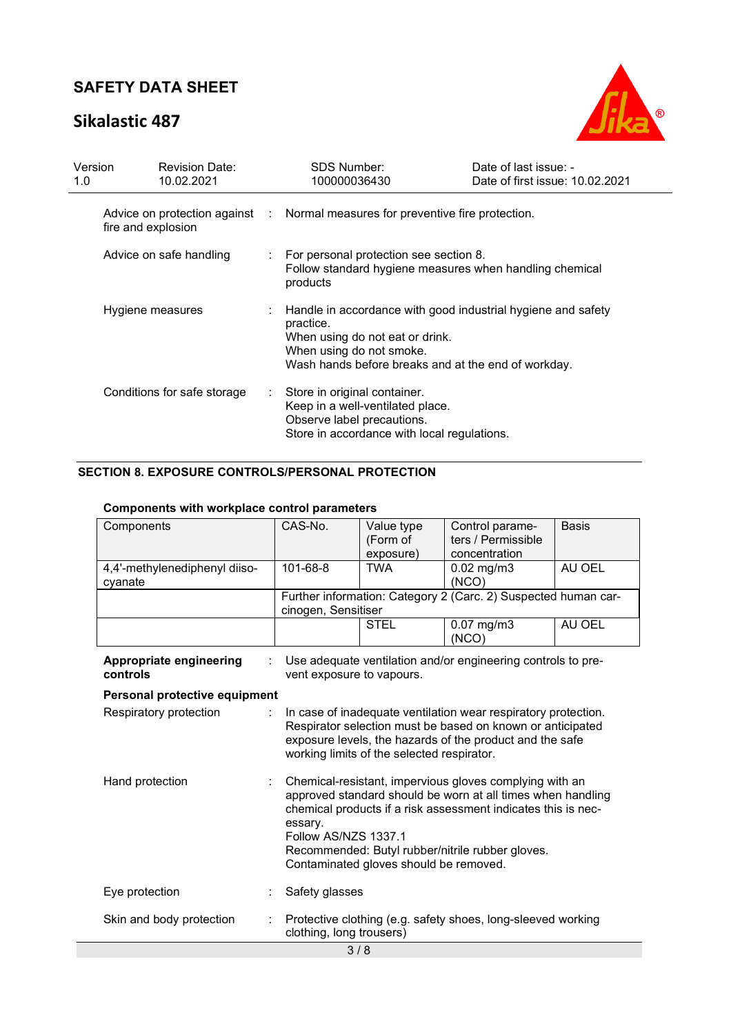# **Sikalastic 487**



| Version<br>1.0   | <b>Revision Date:</b><br>10.02.2021 |    | SDS Number:<br>100000036430                                                                                                                                                                       | Date of last issue: -<br>Date of first issue: 10.02.2021 |
|------------------|-------------------------------------|----|---------------------------------------------------------------------------------------------------------------------------------------------------------------------------------------------------|----------------------------------------------------------|
|                  | fire and explosion                  |    | Advice on protection against : Normal measures for preventive fire protection.                                                                                                                    |                                                          |
|                  | Advice on safe handling             |    | For personal protection see section 8.<br>products                                                                                                                                                | Follow standard hygiene measures when handling chemical  |
| Hygiene measures |                                     |    | : Handle in accordance with good industrial hygiene and safety<br>practice.<br>When using do not eat or drink.<br>When using do not smoke.<br>Wash hands before breaks and at the end of workday. |                                                          |
|                  | Conditions for safe storage         | ÷. | Store in original container.<br>Keep in a well-ventilated place.<br>Observe label precautions.<br>Store in accordance with local regulations.                                                     |                                                          |

## **SECTION 8. EXPOSURE CONTROLS/PERSONAL PROTECTION**

### **Components with workplace control parameters**

| Components                                 | CAS-No.                                                                                                                                                                                                                                                                                                                  | Value type<br>(Form of<br>exposure) | Control parame-<br>ters / Permissible<br>concentration         | <b>Basis</b> |  |
|--------------------------------------------|--------------------------------------------------------------------------------------------------------------------------------------------------------------------------------------------------------------------------------------------------------------------------------------------------------------------------|-------------------------------------|----------------------------------------------------------------|--------------|--|
| 4,4'-methylenediphenyl diiso-<br>cyanate   | 101-68-8                                                                                                                                                                                                                                                                                                                 | <b>TWA</b>                          | $0.02$ mg/m $3$<br>(NCO)                                       | AU OEL       |  |
|                                            | cinogen, Sensitiser                                                                                                                                                                                                                                                                                                      |                                     | Further information: Category 2 (Carc. 2) Suspected human car- |              |  |
|                                            |                                                                                                                                                                                                                                                                                                                          | <b>STEL</b>                         | $0.07$ mg/m $3$<br>(NCO)                                       | AU OEL       |  |
| <b>Appropriate engineering</b><br>controls | vent exposure to vapours.                                                                                                                                                                                                                                                                                                |                                     | Use adequate ventilation and/or engineering controls to pre-   |              |  |
| Personal protective equipment              |                                                                                                                                                                                                                                                                                                                          |                                     |                                                                |              |  |
| Respiratory protection                     | In case of inadequate ventilation wear respiratory protection.<br>Respirator selection must be based on known or anticipated<br>exposure levels, the hazards of the product and the safe<br>working limits of the selected respirator.                                                                                   |                                     |                                                                |              |  |
| Hand protection                            | Chemical-resistant, impervious gloves complying with an<br>approved standard should be worn at all times when handling<br>chemical products if a risk assessment indicates this is nec-<br>essary.<br>Follow AS/NZS 1337.1<br>Recommended: Butyl rubber/nitrile rubber gloves.<br>Contaminated gloves should be removed. |                                     |                                                                |              |  |
| Eye protection                             | Safety glasses                                                                                                                                                                                                                                                                                                           |                                     |                                                                |              |  |
| Skin and body protection                   | clothing, long trousers)                                                                                                                                                                                                                                                                                                 |                                     | Protective clothing (e.g. safety shoes, long-sleeved working   |              |  |
| 3/8                                        |                                                                                                                                                                                                                                                                                                                          |                                     |                                                                |              |  |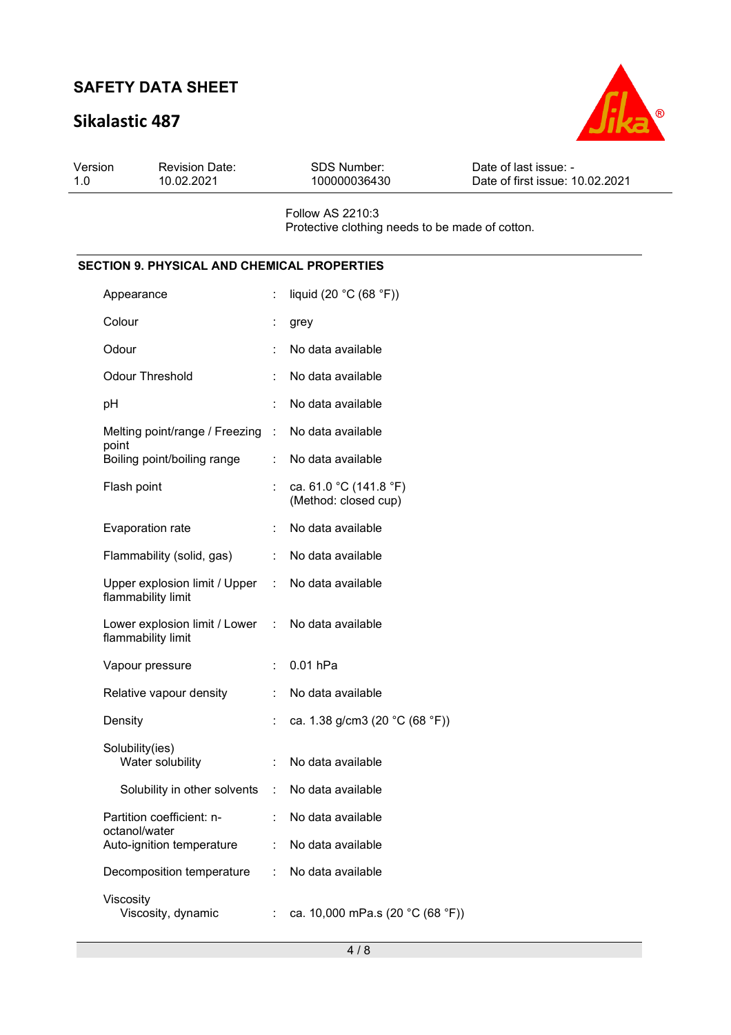# **Sikalastic 487**



| Version<br>1.0 | <b>Revision Date:</b><br>10.02.2021                         |                              | <b>SDS Number:</b><br>100000036430                                         | Date of last issue: -<br>Date of first issue: 10.02.2021 |
|----------------|-------------------------------------------------------------|------------------------------|----------------------------------------------------------------------------|----------------------------------------------------------|
|                |                                                             |                              | <b>Follow AS 2210:3</b><br>Protective clothing needs to be made of cotton. |                                                          |
|                | <b>SECTION 9. PHYSICAL AND CHEMICAL PROPERTIES</b>          |                              |                                                                            |                                                          |
|                | Appearance                                                  | $\mathcal{L}_{\mathrm{max}}$ | liquid (20 °C (68 °F))                                                     |                                                          |
|                | Colour                                                      |                              | t.<br>grey                                                                 |                                                          |
|                | Odour                                                       |                              | No data available                                                          |                                                          |
|                | <b>Odour Threshold</b>                                      |                              | No data available                                                          |                                                          |
|                | pH                                                          | ٠                            | No data available                                                          |                                                          |
|                | Melting point/range / Freezing : No data available<br>point |                              |                                                                            |                                                          |
|                | Boiling point/boiling range                                 | t.                           | No data available                                                          |                                                          |

(Method: closed cup)

|                           | : No data available                                       |
|---------------------------|-----------------------------------------------------------|
|                           | Upper explosion limit / Upper : No data available         |
|                           | Lower explosion limit / Lower : No data available         |
| $\mathbb{R}^{\mathbb{Z}}$ | $0.01$ hPa                                                |
|                           | No data available                                         |
|                           | ca. 1.38 g/cm3 (20 °C (68 °F))                            |
| ÷                         | No data available                                         |
| ÷                         | No data available                                         |
|                           | No data available                                         |
| t.                        | No data available                                         |
|                           | : No data available                                       |
|                           | ca. 10,000 mPa.s (20 °C (68 °F))                          |
| Flammability (solid, gas) | Solubility in other solvents<br>Decomposition temperature |

Flash point  $\qquad \qquad : \quad \text{ca. 61.0 } ^{\circ} \text{C (141.8 } ^{\circ} \text{F)}$ 

Evaporation rate : No data available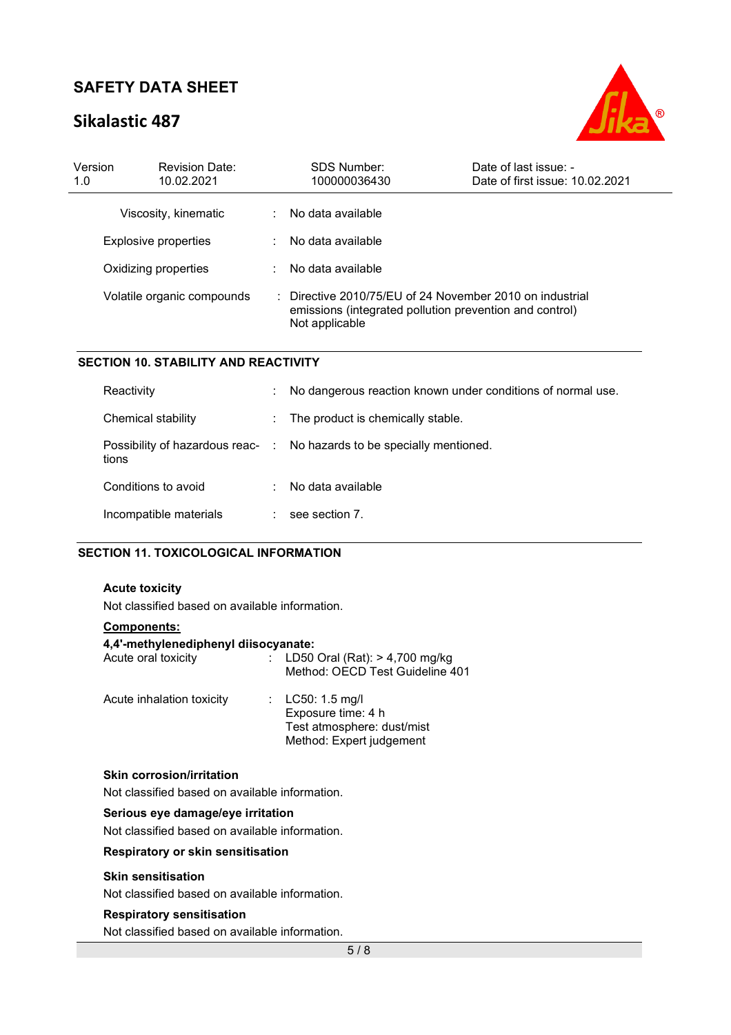# **Sikalastic 487**



| Version<br>1.0             | <b>Revision Date:</b><br>10.02.2021 |           | SDS Number:<br>100000036430                                                                                                                      | Date of last issue: -<br>Date of first issue: 10.02.2021 |
|----------------------------|-------------------------------------|-----------|--------------------------------------------------------------------------------------------------------------------------------------------------|----------------------------------------------------------|
|                            | Viscosity, kinematic                | ÷         | No data available                                                                                                                                |                                                          |
| Explosive properties       |                                     | ÷         | No data available                                                                                                                                |                                                          |
| Oxidizing properties       |                                     | $\bullet$ | No data available                                                                                                                                |                                                          |
| Volatile organic compounds |                                     |           | $\therefore$ Directive 2010/75/EU of 24 November 2010 on industrial<br>emissions (integrated pollution prevention and control)<br>Not applicable |                                                          |

#### **SECTION 10. STABILITY AND REACTIVITY**

| Reactivity                                | ÷                        | No dangerous reaction known under conditions of normal use. |
|-------------------------------------------|--------------------------|-------------------------------------------------------------|
| Chemical stability                        | $\mathcal{L}_{\rm{max}}$ | The product is chemically stable.                           |
| Possibility of hazardous reac- :<br>tions |                          | No hazards to be specially mentioned.                       |
| Conditions to avoid                       | ٠                        | No data available                                           |
| Incompatible materials                    |                          | see section 7.                                              |

### **SECTION 11. TOXICOLOGICAL INFORMATION**

### **Acute toxicity**

Not classified based on available information.

#### **Components:**

| 4,4'-methylenediphenyl diisocyanate: |                                                                                                    |
|--------------------------------------|----------------------------------------------------------------------------------------------------|
| Acute oral toxicity                  | : LD50 Oral (Rat): $> 4,700$ mg/kg<br>Method: OECD Test Guideline 401                              |
| Acute inhalation toxicity            | : $LC50: 1.5$ mg/l<br>Exposure time: 4 h<br>Test atmosphere: dust/mist<br>Method: Expert judgement |

## **Skin corrosion/irritation**

Not classified based on available information.

### **Serious eye damage/eye irritation**

Not classified based on available information.

**Respiratory or skin sensitisation** 

#### **Skin sensitisation**

Not classified based on available information.

#### **Respiratory sensitisation**

Not classified based on available information.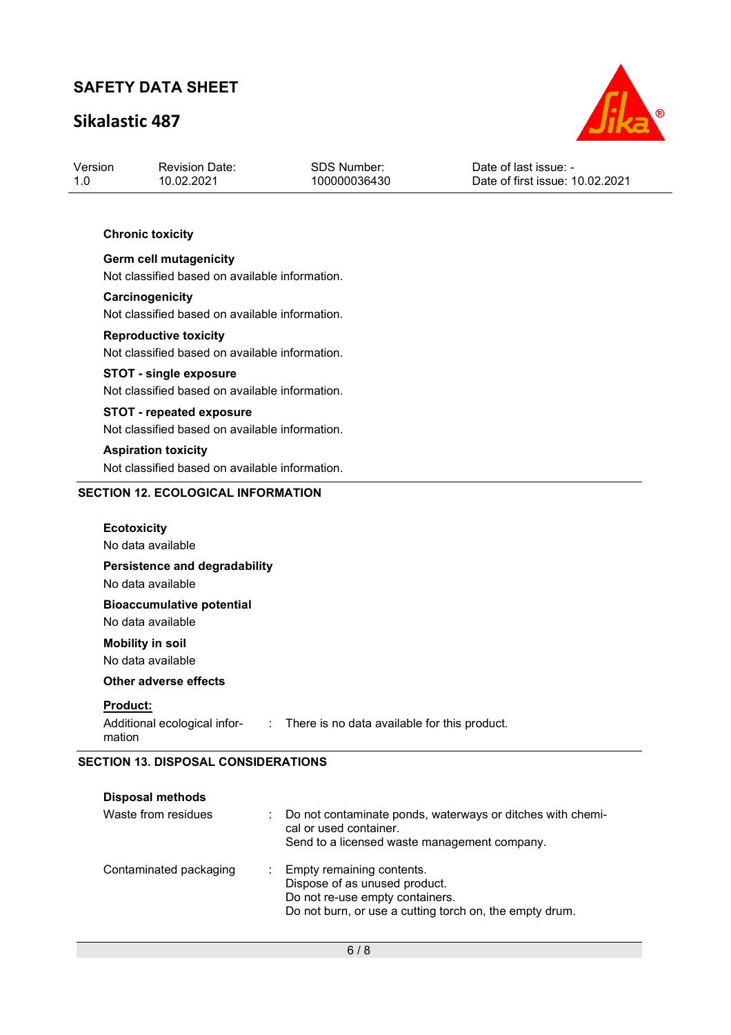# **Sikalastic 487**



| Version | <b>Revision Date:</b> | SDS Number:  | Date of last issue: -           |  |
|---------|-----------------------|--------------|---------------------------------|--|
| 1.0     | 10.02.2021            | 100000036430 | Date of first issue: 10.02.2021 |  |

### **Chronic toxicity**

**Germ cell mutagenicity**  Not classified based on available information.

#### **Carcinogenicity**

Not classified based on available information.

### **Reproductive toxicity**  Not classified based on available information.

#### **STOT - single exposure**

Not classified based on available information.

# **STOT - repeated exposure**

Not classified based on available information.

### **Aspiration toxicity**

Not classified based on available information.

### **SECTION 12. ECOLOGICAL INFORMATION**

| <b>Ecotoxicity</b><br>No data available                   |                                                |
|-----------------------------------------------------------|------------------------------------------------|
| Persistence and degradability<br>No data available        |                                                |
| <b>Bioaccumulative potential</b><br>No data available     |                                                |
| <b>Mobility in soil</b><br>No data available              |                                                |
| Other adverse effects                                     |                                                |
| <b>Product:</b><br>Additional ecological infor-<br>mation | : There is no data available for this product. |

### **SECTION 13. DISPOSAL CONSIDERATIONS**

| <b>Disposal methods</b> |                                                                                                                                                            |
|-------------------------|------------------------------------------------------------------------------------------------------------------------------------------------------------|
| Waste from residues     | Do not contaminate ponds, waterways or ditches with chemi-<br>cal or used container.<br>Send to a licensed waste management company.                       |
| Contaminated packaging  | : Empty remaining contents.<br>Dispose of as unused product.<br>Do not re-use empty containers.<br>Do not burn, or use a cutting torch on, the empty drum. |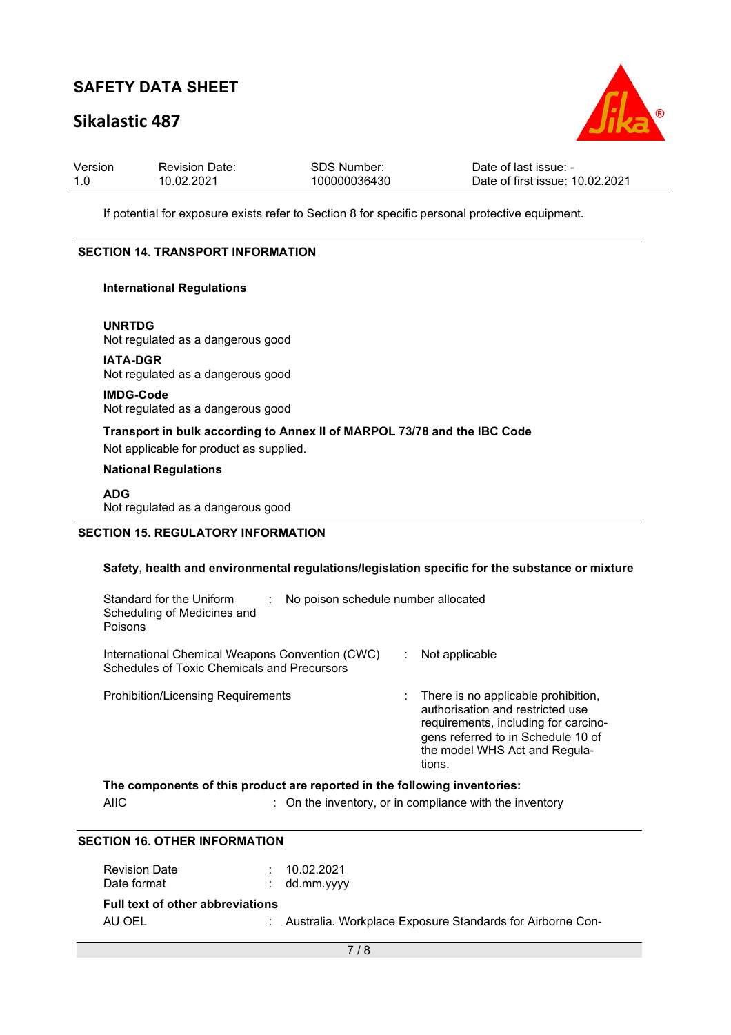# **Sikalastic 487**



| Version | <b>Revision Date:</b> | SDS Number:  | Date of last issue: -           |
|---------|-----------------------|--------------|---------------------------------|
| -1.0    | 10.02.2021            | 100000036430 | Date of first issue: 10.02.2021 |

If potential for exposure exists refer to Section 8 for specific personal protective equipment.

### **SECTION 14. TRANSPORT INFORMATION**

#### **International Regulations**

**UNRTDG** Not regulated as a dangerous good

**IATA-DGR** Not regulated as a dangerous good

**IMDG-Code** Not regulated as a dangerous good

**Transport in bulk according to Annex II of MARPOL 73/78 and the IBC Code** 

Not applicable for product as supplied.

### **National Regulations**

### **ADG**

Not regulated as a dangerous good

### **SECTION 15. REGULATORY INFORMATION**

### **Safety, health and environmental regulations/legislation specific for the substance or mixture**

| Standard for the Uniform<br>Scheduling of Medicines and<br>Poisons                             | No poison schedule number allocated |                                                                                                                                                                                                    |  |  |
|------------------------------------------------------------------------------------------------|-------------------------------------|----------------------------------------------------------------------------------------------------------------------------------------------------------------------------------------------------|--|--|
| International Chemical Weapons Convention (CWC)<br>Schedules of Toxic Chemicals and Precursors |                                     | Not applicable                                                                                                                                                                                     |  |  |
| <b>Prohibition/Licensing Requirements</b>                                                      |                                     | : There is no applicable prohibition,<br>authorisation and restricted use<br>requirements, including for carcino-<br>gens referred to in Schedule 10 of<br>the model WHS Act and Regula-<br>tions. |  |  |

|      | The components of this product are reported in the following inventories: |
|------|---------------------------------------------------------------------------|
| AIIC | : On the inventory, or in compliance with the inventory                   |

### **SECTION 16. OTHER INFORMATION**

| <b>Revision Date</b><br>Date format               | : 10.02.2021<br>$:$ dd.mm.yyyy                              |
|---------------------------------------------------|-------------------------------------------------------------|
| <b>Full text of other abbreviations</b><br>AU OEL | : Australia. Workplace Exposure Standards for Airborne Con- |
|                                                   |                                                             |